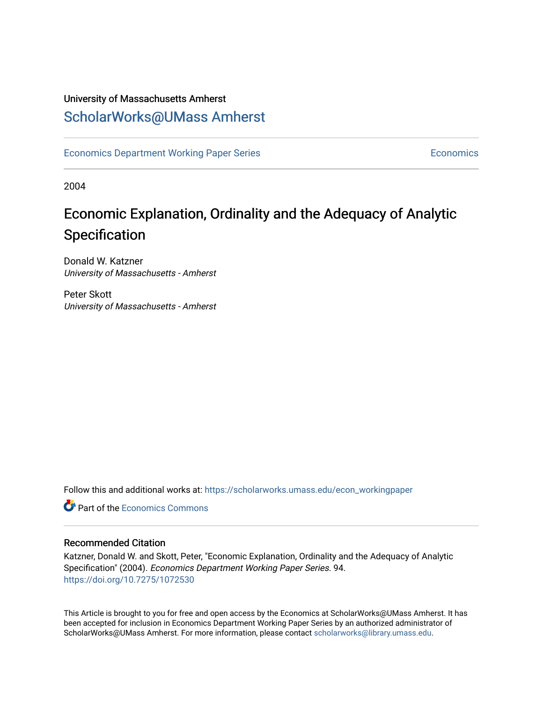### University of Massachusetts Amherst [ScholarWorks@UMass Amherst](https://scholarworks.umass.edu/)

[Economics Department Working Paper Series](https://scholarworks.umass.edu/econ_workingpaper) **Economics** Economics

2004

## Economic Explanation, Ordinality and the Adequacy of Analytic Specification

Donald W. Katzner University of Massachusetts - Amherst

Peter Skott University of Massachusetts - Amherst

Follow this and additional works at: [https://scholarworks.umass.edu/econ\\_workingpaper](https://scholarworks.umass.edu/econ_workingpaper?utm_source=scholarworks.umass.edu%2Fecon_workingpaper%2F94&utm_medium=PDF&utm_campaign=PDFCoverPages) 

**C** Part of the [Economics Commons](http://network.bepress.com/hgg/discipline/340?utm_source=scholarworks.umass.edu%2Fecon_workingpaper%2F94&utm_medium=PDF&utm_campaign=PDFCoverPages)

#### Recommended Citation

Katzner, Donald W. and Skott, Peter, "Economic Explanation, Ordinality and the Adequacy of Analytic Specification" (2004). Economics Department Working Paper Series. 94. <https://doi.org/10.7275/1072530>

This Article is brought to you for free and open access by the Economics at ScholarWorks@UMass Amherst. It has been accepted for inclusion in Economics Department Working Paper Series by an authorized administrator of ScholarWorks@UMass Amherst. For more information, please contact [scholarworks@library.umass.edu.](mailto:scholarworks@library.umass.edu)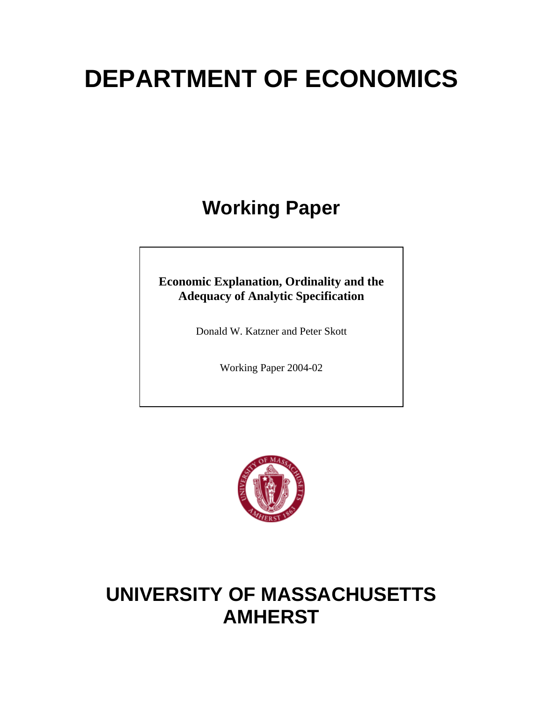# **DEPARTMENT OF ECONOMICS**

# **Working Paper**

**Economic Explanation, Ordinality and the Adequacy of Analytic Specification** 

Donald W. Katzner and Peter Skott

Working Paper 2004-02



# **UNIVERSITY OF MASSACHUSETTS AMHERST**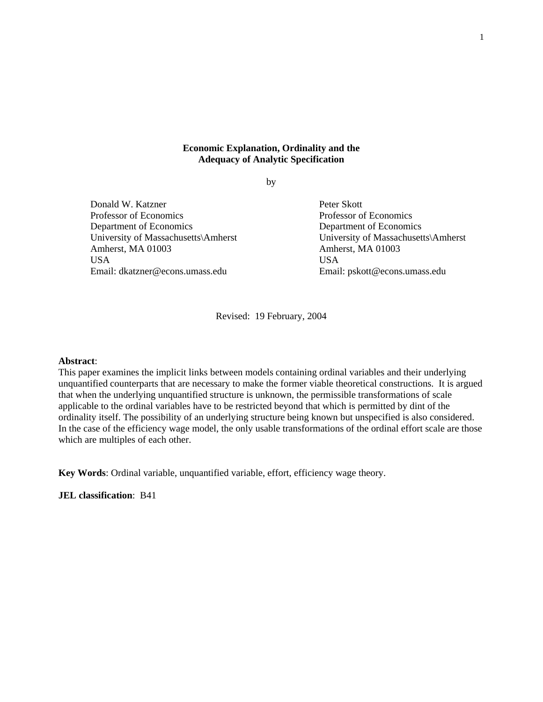#### **Economic Explanation, Ordinality and the Adequacy of Analytic Specification**

by

Donald W. Katzner Professor of Economics Department of Economics University of Massachusetts\Amherst Amherst, MA 01003 USA Email: dkatzner@econs.umass.edu

Peter Skott Professor of Economics Department of Economics University of Massachusetts\Amherst Amherst, MA 01003 USA Email: pskott@econs.umass.edu

Revised: 19 February, 2004

#### **Abstract**:

This paper examines the implicit links between models containing ordinal variables and their underlying unquantified counterparts that are necessary to make the former viable theoretical constructions. It is argued that when the underlying unquantified structure is unknown, the permissible transformations of scale applicable to the ordinal variables have to be restricted beyond that which is permitted by dint of the ordinality itself. The possibility of an underlying structure being known but unspecified is also considered. In the case of the efficiency wage model, the only usable transformations of the ordinal effort scale are those which are multiples of each other.

**Key Words**: Ordinal variable, unquantified variable, effort, efficiency wage theory.

**JEL classification**: B41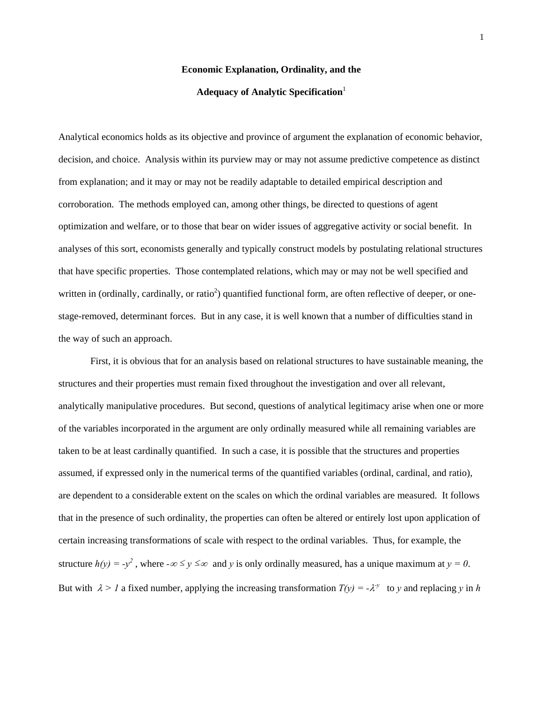### **Economic Explanation, Ordinality, and the**

#### **Adequacy of Analytic Specification**<sup>1</sup>

Analytical economics holds as its objective and province of argument the explanation of economic behavior, decision, and choice. Analysis within its purview may or may not assume predictive competence as distinct from explanation; and it may or may not be readily adaptable to detailed empirical description and corroboration. The methods employed can, among other things, be directed to questions of agent optimization and welfare, or to those that bear on wider issues of aggregative activity or social benefit. In analyses of this sort, economists generally and typically construct models by postulating relational structures that have specific properties. Those contemplated relations, which may or may not be well specified and written in (ordinally, cardinally, or ratio<sup>2</sup>) quantified functional form, are often reflective of deeper, or onestage-removed, determinant forces. But in any case, it is well known that a number of difficulties stand in the way of such an approach.

First, it is obvious that for an analysis based on relational structures to have sustainable meaning, the structures and their properties must remain fixed throughout the investigation and over all relevant, analytically manipulative procedures. But second, questions of analytical legitimacy arise when one or more of the variables incorporated in the argument are only ordinally measured while all remaining variables are taken to be at least cardinally quantified. In such a case, it is possible that the structures and properties assumed, if expressed only in the numerical terms of the quantified variables (ordinal, cardinal, and ratio), are dependent to a considerable extent on the scales on which the ordinal variables are measured. It follows that in the presence of such ordinality, the properties can often be altered or entirely lost upon application of certain increasing transformations of scale with respect to the ordinal variables. Thus, for example, the structure  $h(y) = -y^2$ , where  $-\infty \le y \le \infty$  and *y* is only ordinally measured, has a unique maximum at  $y = 0$ . But with  $\lambda > 1$  a fixed number, applying the increasing transformation  $T(y) = -\lambda^{y}$  to *y* and replacing *y* in *h*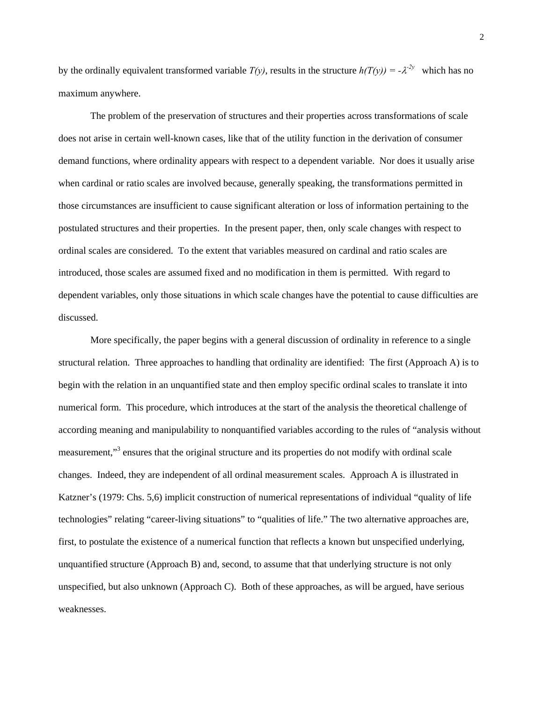by the ordinally equivalent transformed variable  $T(y)$ , results in the structure  $h(T(y)) = -\lambda^{2y}$  which has no maximum anywhere.

 The problem of the preservation of structures and their properties across transformations of scale does not arise in certain well-known cases, like that of the utility function in the derivation of consumer demand functions, where ordinality appears with respect to a dependent variable. Nor does it usually arise when cardinal or ratio scales are involved because, generally speaking, the transformations permitted in those circumstances are insufficient to cause significant alteration or loss of information pertaining to the postulated structures and their properties. In the present paper, then, only scale changes with respect to ordinal scales are considered. To the extent that variables measured on cardinal and ratio scales are introduced, those scales are assumed fixed and no modification in them is permitted. With regard to dependent variables, only those situations in which scale changes have the potential to cause difficulties are discussed.

More specifically, the paper begins with a general discussion of ordinality in reference to a single structural relation. Three approaches to handling that ordinality are identified: The first (Approach A) is to begin with the relation in an unquantified state and then employ specific ordinal scales to translate it into numerical form. This procedure, which introduces at the start of the analysis the theoretical challenge of according meaning and manipulability to nonquantified variables according to the rules of "analysis without measurement,"<sup>3</sup> ensures that the original structure and its properties do not modify with ordinal scale changes. Indeed, they are independent of all ordinal measurement scales. Approach A is illustrated in Katzner's (1979: Chs. 5,6) implicit construction of numerical representations of individual "quality of life technologies" relating "career-living situations" to "qualities of life." The two alternative approaches are, first, to postulate the existence of a numerical function that reflects a known but unspecified underlying, unquantified structure (Approach B) and, second, to assume that that underlying structure is not only unspecified, but also unknown (Approach C). Both of these approaches, as will be argued, have serious weaknesses.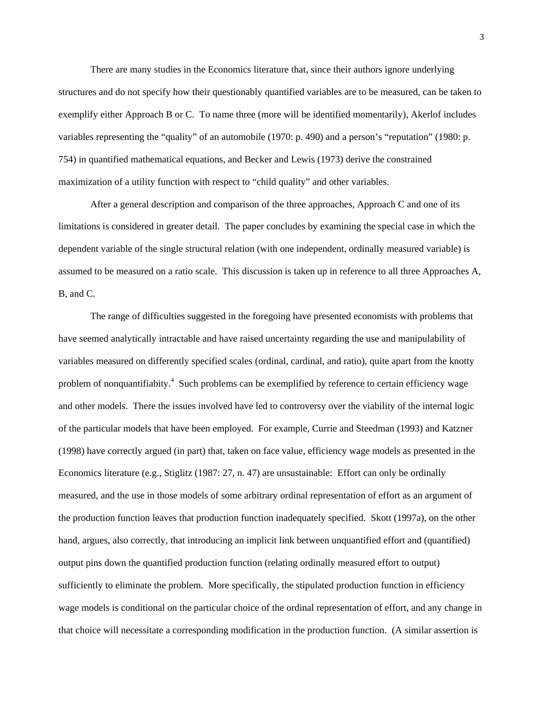There are many studies in the Economics literature that, since their authors ignore underlying structures and do not specify how their questionably quantified variables are to be measured, can be taken to exemplify either Approach B or C. To name three (more will be identified momentarily), Akerlof includes variables representing the "quality" of an automobile (1970: p. 490) and a person's "reputation" (1980: p. 754) in quantified mathematical equations, and Becker and Lewis (1973) derive the constrained maximization of a utility function with respect to "child quality" and other variables.

After a general description and comparison of the three approaches, Approach C and one of its limitations is considered in greater detail. The paper concludes by examining the special case in which the dependent variable of the single structural relation (with one independent, ordinally measured variable) is assumed to be measured on a ratio scale. This discussion is taken up in reference to all three Approaches A, B, and C.

The range of difficulties suggested in the foregoing have presented economists with problems that have seemed analytically intractable and have raised uncertainty regarding the use and manipulability of variables measured on differently specified scales (ordinal, cardinal, and ratio), quite apart from the knotty problem of nonquantifiabity.<sup>4</sup> Such problems can be exemplified by reference to certain efficiency wage and other models. There the issues involved have led to controversy over the viability of the internal logic of the particular models that have been employed. For example, Currie and Steedman (1993) and Katzner (1998) have correctly argued (in part) that, taken on face value, efficiency wage models as presented in the Economics literature (e.g., Stiglitz (1987: 27, n. 47) are unsustainable: Effort can only be ordinally measured, and the use in those models of some arbitrary ordinal representation of effort as an argument of the production function leaves that production function inadequately specified. Skott (1997a), on the other hand, argues, also correctly, that introducing an implicit link between unquantified effort and (quantified) output pins down the quantified production function (relating ordinally measured effort to output) sufficiently to eliminate the problem. More specifically, the stipulated production function in efficiency wage models is conditional on the particular choice of the ordinal representation of effort, and any change in that choice will necessitate a corresponding modification in the production function. (A similar assertion is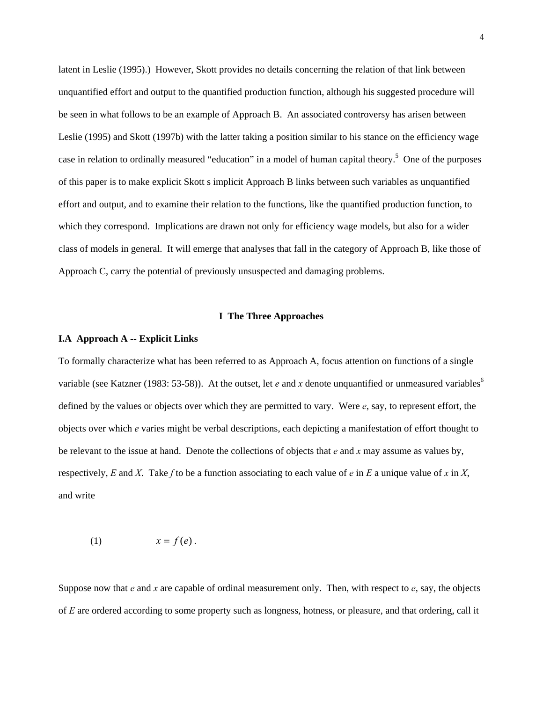latent in Leslie (1995).) However, Skott provides no details concerning the relation of that link between unquantified effort and output to the quantified production function, although his suggested procedure will be seen in what follows to be an example of Approach B. An associated controversy has arisen between Leslie (1995) and Skott (1997b) with the latter taking a position similar to his stance on the efficiency wage case in relation to ordinally measured "education" in a model of human capital theory.<sup>5</sup> One of the purposes of this paper is to make explicit Skott s implicit Approach B links between such variables as unquantified effort and output, and to examine their relation to the functions, like the quantified production function, to which they correspond. Implications are drawn not only for efficiency wage models, but also for a wider class of models in general. It will emerge that analyses that fall in the category of Approach B, like those of Approach C, carry the potential of previously unsuspected and damaging problems.

#### **I The Three Approaches**

#### **I.A Approach A -- Explicit Links**

To formally characterize what has been referred to as Approach A, focus attention on functions of a single variable (see Katzner (1983: 53-58)). At the outset, let *e* and *x* denote unquantified or unmeasured variables<sup>6</sup> defined by the values or objects over which they are permitted to vary. Were *e*, say, to represent effort, the objects over which *e* varies might be verbal descriptions, each depicting a manifestation of effort thought to be relevant to the issue at hand. Denote the collections of objects that *e* and *x* may assume as values by, respectively, *E* and *X*. Take *f* to be a function associating to each value of *e* in *E* a unique value of *x* in *X*, and write

$$
(1) \t x = f(e).
$$

Suppose now that *e* and *x* are capable of ordinal measurement only. Then, with respect to *e*, say, the objects of *E* are ordered according to some property such as longness, hotness, or pleasure, and that ordering, call it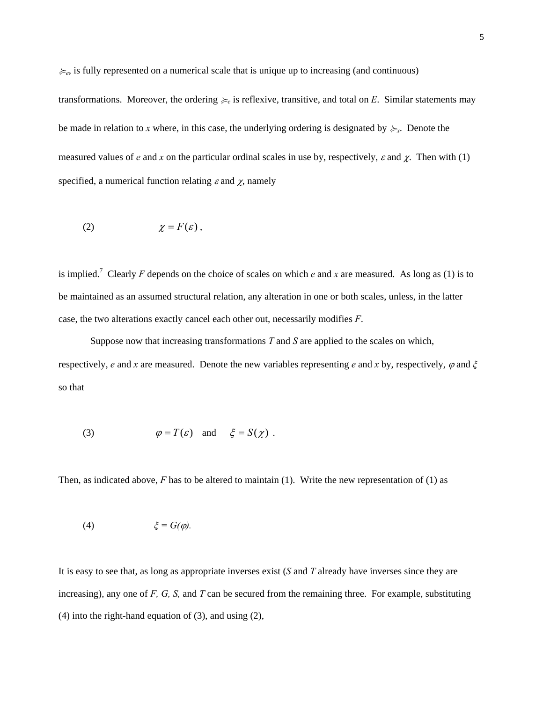$\geq_e$ , is fully represented on a numerical scale that is unique up to increasing (and continuous)

transformations. Moreover, the ordering  $\geq_e$  is reflexive, transitive, and total on *E*. Similar statements may be made in relation to *x* where, in this case, the underlying ordering is designated by  $\succcurlyeq_x$ . Denote the measured values of  $e$  and  $x$  on the particular ordinal scales in use by, respectively,  $\varepsilon$  and  $\chi$ . Then with (1) specified, a numerical function relating  $\varepsilon$  and  $\chi$ , namely

$$
(2) \t\t \mathcal{X} = F(\varepsilon),
$$

is implied.<sup>7</sup> Clearly *F* depends on the choice of scales on which *e* and *x* are measured. As long as (1) is to be maintained as an assumed structural relation, any alteration in one or both scales, unless, in the latter case, the two alterations exactly cancel each other out, necessarily modifies *F*.

Suppose now that increasing transformations *T* and *S* are applied to the scales on which, respectively, *e* and *x* are measured. Denote the new variables representing *e* and *x* by, respectively,  $\varphi$  and  $\zeta$ so that

(3) 
$$
\varphi = T(\varepsilon) \text{ and } \xi = S(\chi).
$$

Then, as indicated above,  $F$  has to be altered to maintain (1). Write the new representation of (1) as

$$
(4) \qquad \qquad \xi = G(\varphi).
$$

It is easy to see that, as long as appropriate inverses exist (*S* and *T* already have inverses since they are increasing), any one of *F, G, S,* and *T* can be secured from the remaining three. For example, substituting (4) into the right-hand equation of (3), and using (2),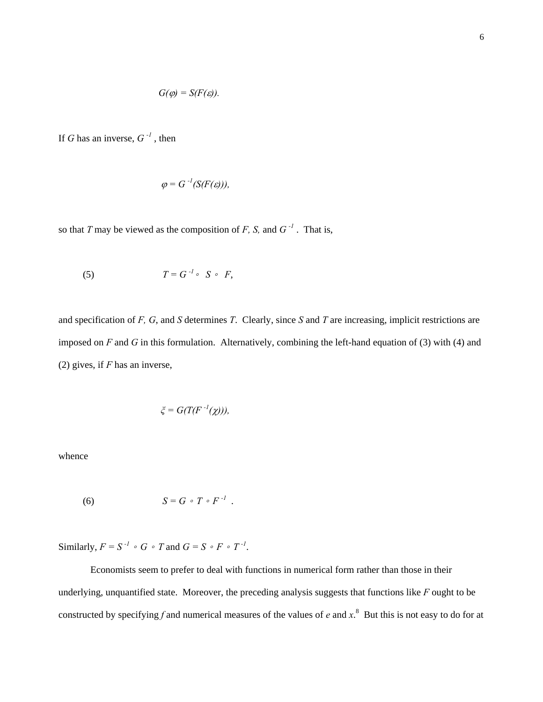$$
G(\varphi) = S(F(\varepsilon)).
$$

If *G* has an inverse,  $G^{-1}$ , then

$$
\varphi = G^{-1}(S(F(\varepsilon)))
$$

so that *T* may be viewed as the composition of *F*, *S*, and  $G^{-1}$ . That is,

(5) 
$$
T = G^{-1} \circ S \circ F,
$$

and specification of *F, G*, and *S* determines *T*. Clearly, since *S* and *T* are increasing, implicit restrictions are imposed on *F* and *G* in this formulation. Alternatively, combining the left-hand equation of (3) with (4) and (2) gives, if *F* has an inverse,

$$
\xi = G(T(F^{-1}(\chi))),
$$

whence

$$
(6) \tS = G \circ T \circ F^{-1} .
$$

Similarly,  $F = S^{-1} \circ G \circ T$  and  $G = S \circ F \circ T^{-1}$ .

Economists seem to prefer to deal with functions in numerical form rather than those in their underlying, unquantified state. Moreover, the preceding analysis suggests that functions like *F* ought to be constructed by specifying f and numerical measures of the values of  $e$  and  $x$ .<sup>8</sup> But this is not easy to do for at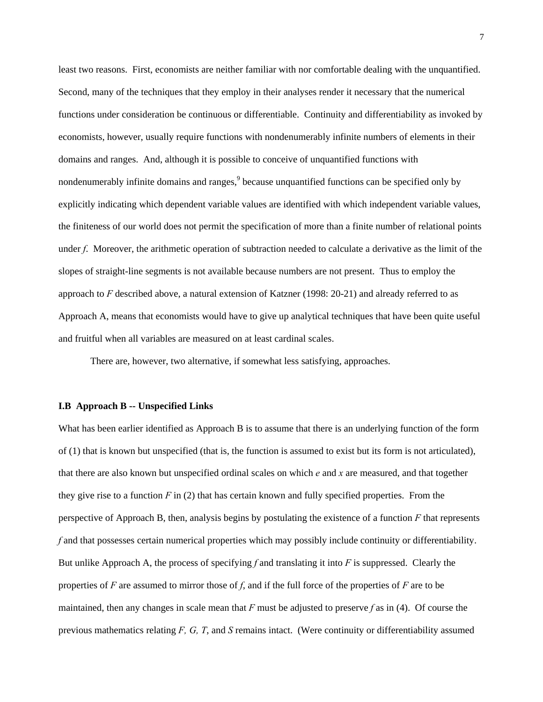least two reasons. First, economists are neither familiar with nor comfortable dealing with the unquantified. Second, many of the techniques that they employ in their analyses render it necessary that the numerical functions under consideration be continuous or differentiable. Continuity and differentiability as invoked by economists, however, usually require functions with nondenumerably infinite numbers of elements in their domains and ranges. And, although it is possible to conceive of unquantified functions with nondenumerably infinite domains and ranges,<sup>9</sup> because unquantified functions can be specified only by explicitly indicating which dependent variable values are identified with which independent variable values, the finiteness of our world does not permit the specification of more than a finite number of relational points under *f*. Moreover, the arithmetic operation of subtraction needed to calculate a derivative as the limit of the slopes of straight-line segments is not available because numbers are not present. Thus to employ the approach to *F* described above, a natural extension of Katzner (1998: 20-21) and already referred to as Approach A, means that economists would have to give up analytical techniques that have been quite useful and fruitful when all variables are measured on at least cardinal scales.

There are, however, two alternative, if somewhat less satisfying, approaches.

#### **I.B Approach B -- Unspecified Links**

What has been earlier identified as Approach B is to assume that there is an underlying function of the form of (1) that is known but unspecified (that is, the function is assumed to exist but its form is not articulated), that there are also known but unspecified ordinal scales on which *e* and *x* are measured, and that together they give rise to a function  $F$  in (2) that has certain known and fully specified properties. From the perspective of Approach B, then, analysis begins by postulating the existence of a function *F* that represents *f* and that possesses certain numerical properties which may possibly include continuity or differentiability. But unlike Approach A, the process of specifying *f* and translating it into *F* is suppressed. Clearly the properties of *F* are assumed to mirror those of *f*, and if the full force of the properties of *F* are to be maintained, then any changes in scale mean that *F* must be adjusted to preserve *f* as in (4). Of course the previous mathematics relating *F, G, T*, and *S* remains intact. (Were continuity or differentiability assumed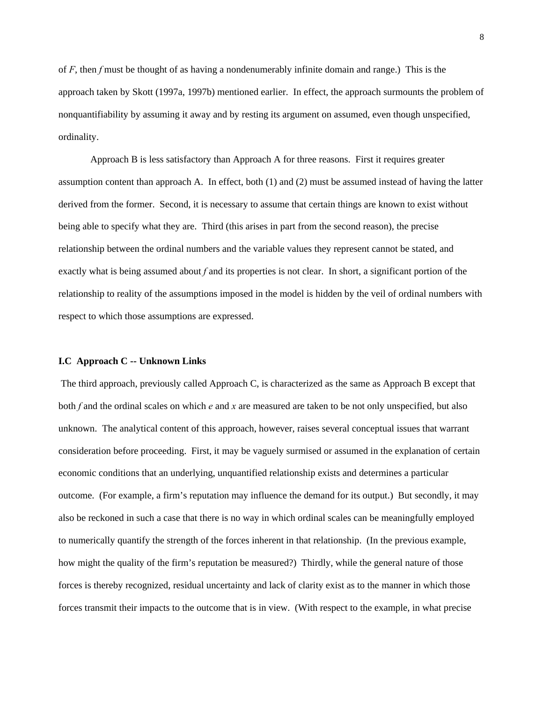of *F*, then *f* must be thought of as having a nondenumerably infinite domain and range.) This is the approach taken by Skott (1997a, 1997b) mentioned earlier. In effect, the approach surmounts the problem of nonquantifiability by assuming it away and by resting its argument on assumed, even though unspecified, ordinality.

Approach B is less satisfactory than Approach A for three reasons. First it requires greater assumption content than approach A. In effect, both (1) and (2) must be assumed instead of having the latter derived from the former. Second, it is necessary to assume that certain things are known to exist without being able to specify what they are. Third (this arises in part from the second reason), the precise relationship between the ordinal numbers and the variable values they represent cannot be stated, and exactly what is being assumed about f and its properties is not clear. In short, a significant portion of the relationship to reality of the assumptions imposed in the model is hidden by the veil of ordinal numbers with respect to which those assumptions are expressed.

#### **I.C Approach C -- Unknown Links**

 The third approach, previously called Approach C, is characterized as the same as Approach B except that both *f* and the ordinal scales on which *e* and *x* are measured are taken to be not only unspecified, but also unknown. The analytical content of this approach, however, raises several conceptual issues that warrant consideration before proceeding. First, it may be vaguely surmised or assumed in the explanation of certain economic conditions that an underlying, unquantified relationship exists and determines a particular outcome. (For example, a firm's reputation may influence the demand for its output.) But secondly, it may also be reckoned in such a case that there is no way in which ordinal scales can be meaningfully employed to numerically quantify the strength of the forces inherent in that relationship. (In the previous example, how might the quality of the firm's reputation be measured?) Thirdly, while the general nature of those forces is thereby recognized, residual uncertainty and lack of clarity exist as to the manner in which those forces transmit their impacts to the outcome that is in view. (With respect to the example, in what precise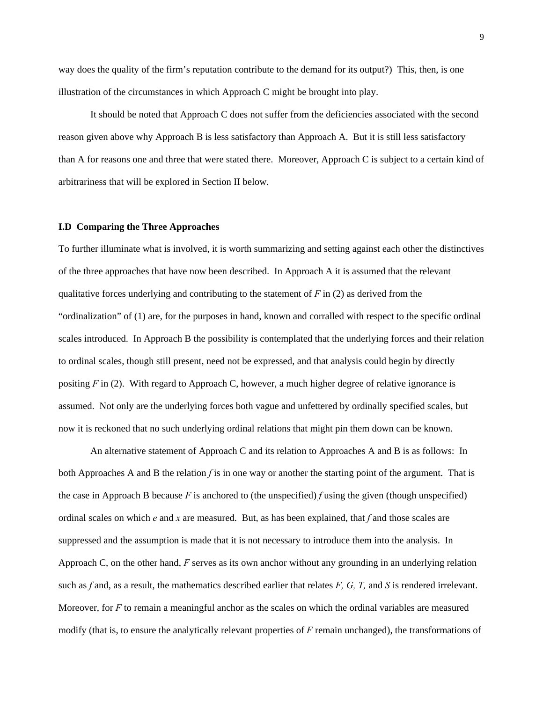way does the quality of the firm's reputation contribute to the demand for its output?) This, then, is one illustration of the circumstances in which Approach C might be brought into play.

It should be noted that Approach C does not suffer from the deficiencies associated with the second reason given above why Approach B is less satisfactory than Approach A. But it is still less satisfactory than A for reasons one and three that were stated there. Moreover, Approach C is subject to a certain kind of arbitrariness that will be explored in Section II below.

#### **I.D Comparing the Three Approaches**

To further illuminate what is involved, it is worth summarizing and setting against each other the distinctives of the three approaches that have now been described. In Approach A it is assumed that the relevant qualitative forces underlying and contributing to the statement of *F* in (2) as derived from the "ordinalization" of (1) are, for the purposes in hand, known and corralled with respect to the specific ordinal scales introduced. In Approach B the possibility is contemplated that the underlying forces and their relation to ordinal scales, though still present, need not be expressed, and that analysis could begin by directly positing *F* in (2). With regard to Approach C, however, a much higher degree of relative ignorance is assumed. Not only are the underlying forces both vague and unfettered by ordinally specified scales, but now it is reckoned that no such underlying ordinal relations that might pin them down can be known.

An alternative statement of Approach C and its relation to Approaches A and B is as follows: In both Approaches A and B the relation *f* is in one way or another the starting point of the argument. That is the case in Approach B because  $F$  is anchored to (the unspecified)  $f$  using the given (though unspecified) ordinal scales on which *e* and *x* are measured. But, as has been explained, that *f* and those scales are suppressed and the assumption is made that it is not necessary to introduce them into the analysis. In Approach C, on the other hand, *F* serves as its own anchor without any grounding in an underlying relation such as *f* and, as a result, the mathematics described earlier that relates *F, G, T,* and *S* is rendered irrelevant. Moreover, for F to remain a meaningful anchor as the scales on which the ordinal variables are measured modify (that is, to ensure the analytically relevant properties of *F* remain unchanged), the transformations of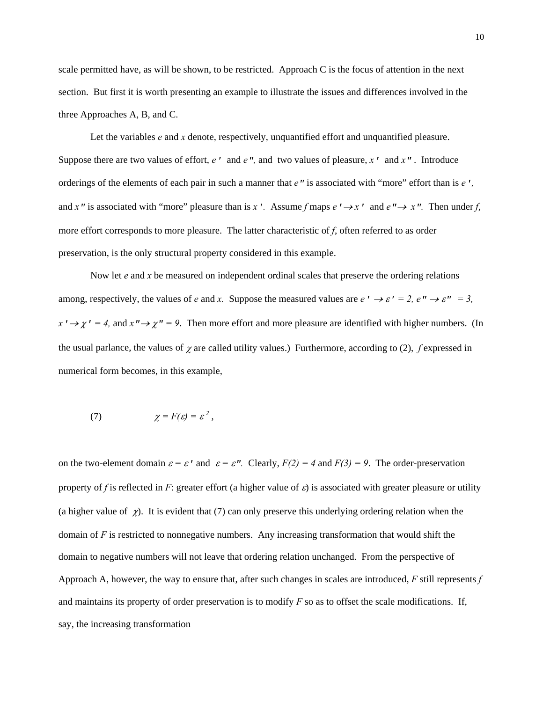scale permitted have, as will be shown, to be restricted. Approach C is the focus of attention in the next section. But first it is worth presenting an example to illustrate the issues and differences involved in the three Approaches A, B, and C.

Let the variables *e* and *x* denote, respectively, unquantified effort and unquantified pleasure. Suppose there are two values of effort, *e′* and *e″,* and two values of pleasure, *x′* and *x″* . Introduce orderings of the elements of each pair in such a manner that *e″* is associated with "more" effort than is *e′,* and *x*<sup>*n*</sup> is associated with "more" pleasure than is *x*<sup>*t*</sup>. Assume *f* maps  $e' \rightarrow x'$  and  $e'' \rightarrow x''$ . Then under *f*, more effort corresponds to more pleasure. The latter characteristic of *f*, often referred to as order preservation, is the only structural property considered in this example.

Now let *e* and *x* be measured on independent ordinal scales that preserve the ordering relations among, respectively, the values of *e* and *x*. Suppose the measured values are  $e' \rightarrow e' = 2$ ,  $e'' \rightarrow e'' = 3$ ,  $x' \rightarrow \chi' = 4$ , and  $x'' \rightarrow \chi'' = 9$ . Then more effort and more pleasure are identified with higher numbers. (In the usual parlance, the values of  $\chi$  are called utility values.) Furthermore, according to (2),  $f$  expressed in numerical form becomes, in this example,

(7) 
$$
\chi = F(\varepsilon) = \varepsilon^2,
$$

on the two-element domain  $\varepsilon = \varepsilon'$  and  $\varepsilon = \varepsilon''$ . Clearly,  $F(2) = 4$  and  $F(3) = 9$ . The order-preservation property of *f* is reflected in *F*: greater effort (a higher value of  $\varepsilon$ ) is associated with greater pleasure or utility (a higher value of  $\chi$ ). It is evident that (7) can only preserve this underlying ordering relation when the domain of *F* is restricted to nonnegative numbers. Any increasing transformation that would shift the domain to negative numbers will not leave that ordering relation unchanged. From the perspective of Approach A, however, the way to ensure that, after such changes in scales are introduced, *F* still represents *f* and maintains its property of order preservation is to modify *F* so as to offset the scale modifications. If, say, the increasing transformation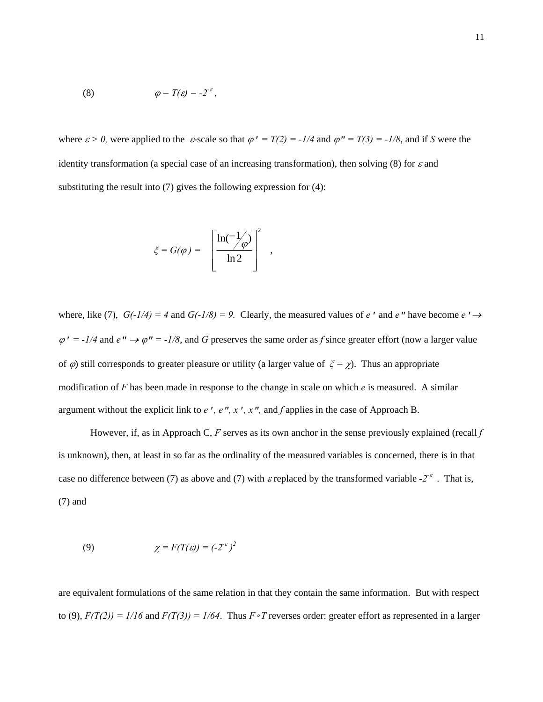$$
\varphi = T(\varepsilon) = -2^{-\varepsilon},
$$

where  $\varepsilon > 0$ , were applied to the  $\varepsilon$ -scale so that  $\varphi' = T(2) = -1/4$  and  $\varphi'' = T(3) = -1/8$ , and if *S* were the identity transformation (a special case of an increasing transformation), then solving (8) for  $\varepsilon$  and substituting the result into  $(7)$  gives the following expression for  $(4)$ :

$$
\xi = G(\varphi) = \left[ \frac{\ln(-\frac{1}{\varphi})}{\ln 2} \right]^2 ,
$$

where, like (7),  $G(-1/4) = 4$  and  $G(-1/8) = 9$ . Clearly, the measured values of *e*<sup>*'*</sup> and *e*<sup>*''*</sup> have become *e*<sup>*'*</sup>  $\rightarrow$  $\varphi' = -I/4$  and  $e'' \to \varphi'' = -I/8$ , and *G* preserves the same order as *f* since greater effort (now a larger value of ϕ) still corresponds to greater pleasure or utility (a larger value of *ξ =* χ). Thus an appropriate modification of *F* has been made in response to the change in scale on which *e* is measured. A similar argument without the explicit link to *e′, e″, x′, x″,* and *f* applies in the case of Approach B.

However, if, as in Approach C,  $F$  serves as its own anchor in the sense previously explained (recall  $f$ is unknown), then, at least in so far as the ordinality of the measured variables is concerned, there is in that case no difference between (7) as above and (7) with  $\varepsilon$  replaced by the transformed variable  $-2^{-\varepsilon}$ . That is, (7) and

$$
(9) \t\t \chi = F(T(\varepsilon)) = (-2^{-\varepsilon})^2
$$

are equivalent formulations of the same relation in that they contain the same information. But with respect to (9),  $F(T(2)) = 1/16$  and  $F(T(3)) = 1/64$ . Thus  $F \circ T$  reverses order: greater effort as represented in a larger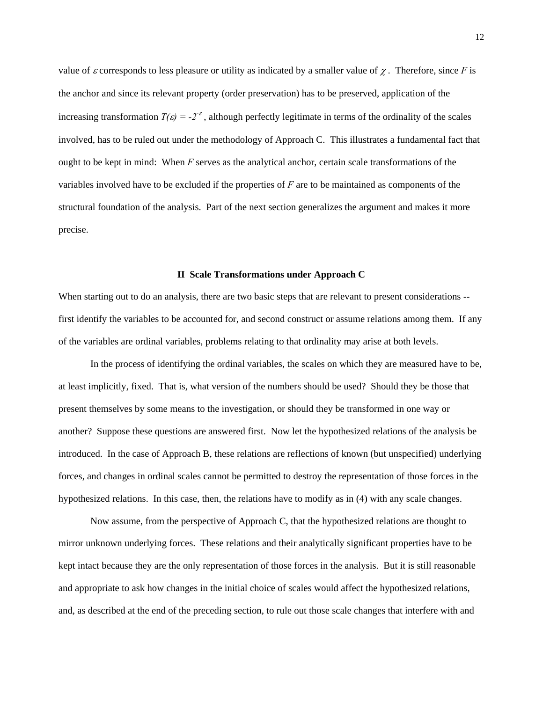value of  $\varepsilon$  corresponds to less pleasure or utility as indicated by a smaller value of  $\chi$ . Therefore, since F is the anchor and since its relevant property (order preservation) has to be preserved, application of the increasing transformation  $T(\varepsilon) = -2^{-\varepsilon}$ , although perfectly legitimate in terms of the ordinality of the scales involved, has to be ruled out under the methodology of Approach C. This illustrates a fundamental fact that ought to be kept in mind: When *F* serves as the analytical anchor, certain scale transformations of the variables involved have to be excluded if the properties of *F* are to be maintained as components of the structural foundation of the analysis. Part of the next section generalizes the argument and makes it more precise.

#### **II Scale Transformations under Approach C**

When starting out to do an analysis, there are two basic steps that are relevant to present considerations -first identify the variables to be accounted for, and second construct or assume relations among them. If any of the variables are ordinal variables, problems relating to that ordinality may arise at both levels.

In the process of identifying the ordinal variables, the scales on which they are measured have to be, at least implicitly, fixed. That is, what version of the numbers should be used? Should they be those that present themselves by some means to the investigation, or should they be transformed in one way or another? Suppose these questions are answered first. Now let the hypothesized relations of the analysis be introduced. In the case of Approach B, these relations are reflections of known (but unspecified) underlying forces, and changes in ordinal scales cannot be permitted to destroy the representation of those forces in the hypothesized relations. In this case, then, the relations have to modify as in (4) with any scale changes.

Now assume, from the perspective of Approach C, that the hypothesized relations are thought to mirror unknown underlying forces. These relations and their analytically significant properties have to be kept intact because they are the only representation of those forces in the analysis. But it is still reasonable and appropriate to ask how changes in the initial choice of scales would affect the hypothesized relations, and, as described at the end of the preceding section, to rule out those scale changes that interfere with and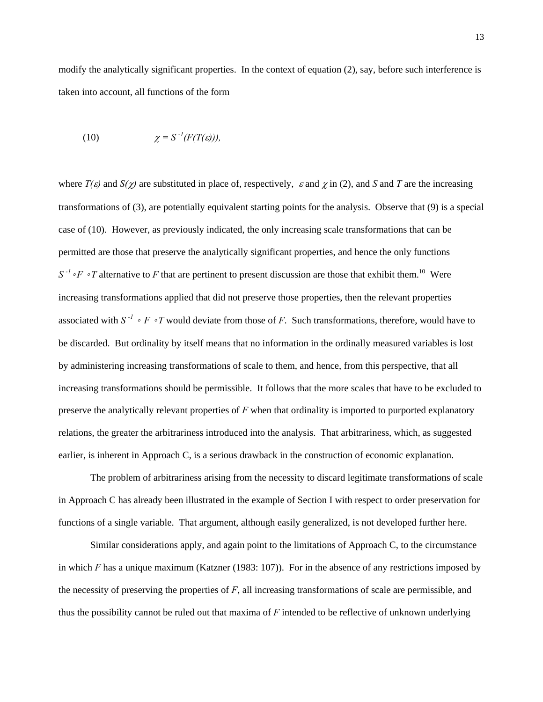modify the analytically significant properties. In the context of equation (2), say, before such interference is taken into account, all functions of the form

$$
(10) \t\t \chi = S^{-1}(F(T(\varepsilon))),
$$

where  $T(\varepsilon)$  and  $S(\chi)$  are substituted in place of, respectively,  $\varepsilon$  and  $\chi$  in (2), and *S* and *T* are the increasing transformations of (3), are potentially equivalent starting points for the analysis. Observe that (9) is a special case of (10). However, as previously indicated, the only increasing scale transformations that can be permitted are those that preserve the analytically significant properties, and hence the only functions *S*<sup>-*1</sup>*◦*F* ◦<sup>*T*</sup> alternative to *F* that are pertinent to present discussion are those that exhibit them.<sup>10</sup> Were</sup> increasing transformations applied that did not preserve those properties, then the relevant properties associated with  $S^{-1} \circ F \circ T$  would deviate from those of *F*. Such transformations, therefore, would have to be discarded. But ordinality by itself means that no information in the ordinally measured variables is lost by administering increasing transformations of scale to them, and hence, from this perspective, that all increasing transformations should be permissible. It follows that the more scales that have to be excluded to preserve the analytically relevant properties of *F* when that ordinality is imported to purported explanatory relations, the greater the arbitrariness introduced into the analysis. That arbitrariness, which, as suggested earlier, is inherent in Approach C, is a serious drawback in the construction of economic explanation.

The problem of arbitrariness arising from the necessity to discard legitimate transformations of scale in Approach C has already been illustrated in the example of Section I with respect to order preservation for functions of a single variable. That argument, although easily generalized, is not developed further here.

Similar considerations apply, and again point to the limitations of Approach C, to the circumstance in which *F* has a unique maximum (Katzner (1983: 107)). For in the absence of any restrictions imposed by the necessity of preserving the properties of *F*, all increasing transformations of scale are permissible, and thus the possibility cannot be ruled out that maxima of *F* intended to be reflective of unknown underlying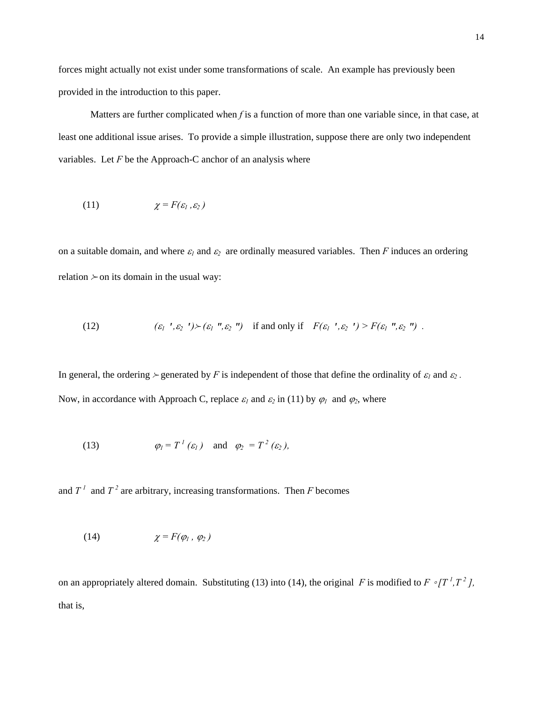forces might actually not exist under some transformations of scale. An example has previously been provided in the introduction to this paper.

Matters are further complicated when *f* is a function of more than one variable since, in that case, at least one additional issue arises. To provide a simple illustration, suppose there are only two independent variables. Let  $F$  be the Approach-C anchor of an analysis where

$$
(11) \t\t\t \chi = F(\varepsilon_1,\varepsilon_2)
$$

on a suitable domain, and where  $\varepsilon_1$  and  $\varepsilon_2$  are ordinally measured variables. Then *F* induces an ordering relation  $\geq$  on its domain in the usual way:

(12) 
$$
(\varepsilon_1 \tcdot, \varepsilon_2 \tcdot) \succ (\varepsilon_1 \tcdot, \varepsilon_2 \tcdot)
$$
 if and only if  $F(\varepsilon_1 \tcdot, \varepsilon_2 \tcdot) > F(\varepsilon_1 \tcdot, \varepsilon_2 \tcdot)$ .

In general, the ordering  $\geq$  generated by *F* is independent of those that define the ordinality of  $\varepsilon_1$  and  $\varepsilon_2$ . Now, in accordance with Approach C, replace  $\varepsilon_1$  and  $\varepsilon_2$  in (11) by  $\varphi_1$  and  $\varphi_2$ , where

(13) 
$$
\varphi_l = T^l(\varepsilon_l) \quad \text{and} \quad \varphi_2 = T^2(\varepsilon_2),
$$

and  $T^T$  and  $T^2$  are arbitrary, increasing transformations. Then *F* becomes

$$
(14) \t\t\t \chi = F(\varphi_1, \varphi_2)
$$

on an appropriately altered domain. Substituting (13) into (14), the original *F* is modified to  $F \circ [T^1, T^2]$ , that is,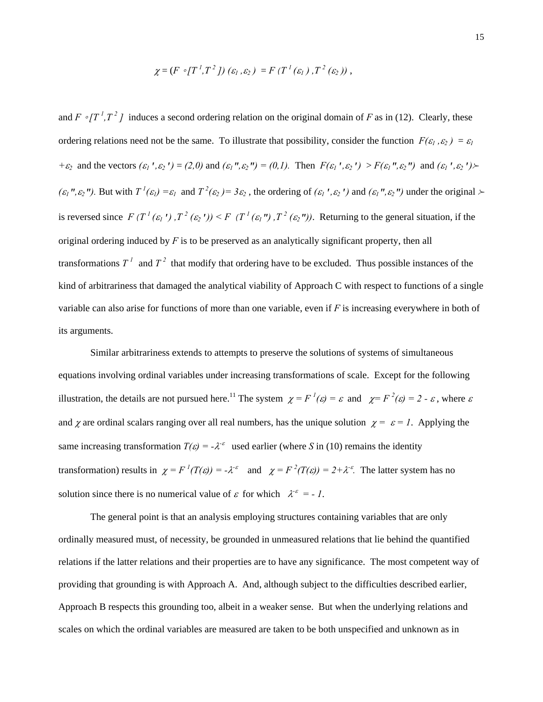$$
\chi = (F \circ [T^1, T^2]) (\varepsilon_1, \varepsilon_2) = F (T^1(\varepsilon_1), T^2(\varepsilon_2)),
$$

and  $F \circ [T^1, T^2]$  induces a second ordering relation on the original domain of *F* as in (12). Clearly, these ordering relations need not be the same. To illustrate that possibility, consider the function  $F(\varepsilon_1, \varepsilon_2) = \varepsilon_1$  $+\varepsilon_2$  and the vectors  $(\varepsilon_1', \varepsilon_2') = (2,0)$  and  $(\varepsilon_1'', \varepsilon_2'') = (0,1)$ . Then  $F(\varepsilon_1', \varepsilon_2') > F(\varepsilon_1'', \varepsilon_2'')$  and  $(\varepsilon_1', \varepsilon_2') >$  $(\varepsilon_1'', \varepsilon_2'')$ . But with  $T^l(\varepsilon_1) = \varepsilon_1$  and  $T^2(\varepsilon_2) = 3\varepsilon_2$ , the ordering of  $(\varepsilon_1'', \varepsilon_2'')$  and  $(\varepsilon_1'', \varepsilon_2'')$  under the original  $\succ$ is reversed since  $F(T^{\perp}(\varepsilon_1)^t, T^{\perp}(\varepsilon_2)^t) \leq F(T^{\perp}(\varepsilon_1)^t, T^{\perp}(\varepsilon_2)^t)$ . Returning to the general situation, if the original ordering induced by *F* is to be preserved as an analytically significant property, then all transformations  $T^1$  and  $T^2$  that modify that ordering have to be excluded. Thus possible instances of the kind of arbitrariness that damaged the analytical viability of Approach C with respect to functions of a single variable can also arise for functions of more than one variable, even if *F* is increasing everywhere in both of its arguments.

Similar arbitrariness extends to attempts to preserve the solutions of systems of simultaneous equations involving ordinal variables under increasing transformations of scale. Except for the following illustration, the details are not pursued here.<sup>11</sup> The system  $\chi = F^{-1}(\varepsilon) = \varepsilon$  and  $\chi = F^{-2}(\varepsilon) = 2 - \varepsilon$ , where  $\varepsilon$ and  $\chi$  are ordinal scalars ranging over all real numbers, has the unique solution  $\chi = \varepsilon = 1$ . Applying the same increasing transformation  $T(\varepsilon) = -\lambda^{-\varepsilon}$  used earlier (where *S* in (10) remains the identity transformation) results in  $\chi = F^{-1}(T(\varepsilon)) = -\lambda^{-\varepsilon}$  and  $\chi = F^{-2}(T(\varepsilon)) = 2 + \lambda^{-\varepsilon}$ . The latter system has no solution since there is no numerical value of  $\varepsilon$  for which  $\lambda^{\varepsilon} = -1$ .

The general point is that an analysis employing structures containing variables that are only ordinally measured must, of necessity, be grounded in unmeasured relations that lie behind the quantified relations if the latter relations and their properties are to have any significance. The most competent way of providing that grounding is with Approach A. And, although subject to the difficulties described earlier, Approach B respects this grounding too, albeit in a weaker sense. But when the underlying relations and scales on which the ordinal variables are measured are taken to be both unspecified and unknown as in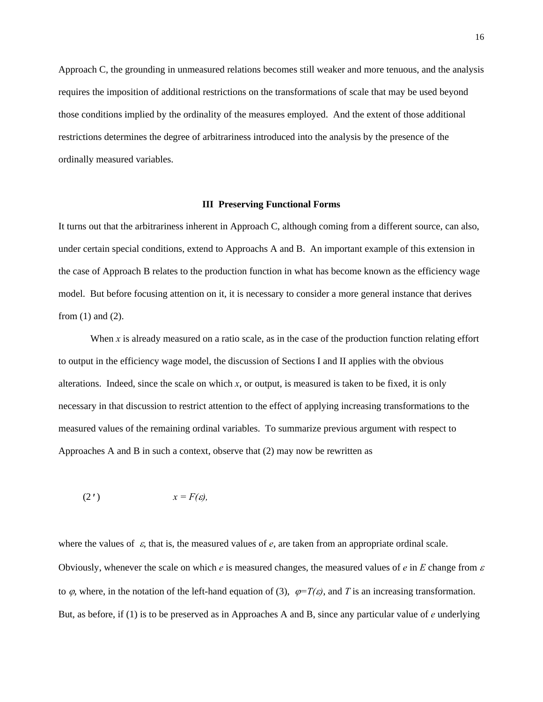Approach C, the grounding in unmeasured relations becomes still weaker and more tenuous, and the analysis requires the imposition of additional restrictions on the transformations of scale that may be used beyond those conditions implied by the ordinality of the measures employed. And the extent of those additional restrictions determines the degree of arbitrariness introduced into the analysis by the presence of the ordinally measured variables.

#### **III Preserving Functional Forms**

It turns out that the arbitrariness inherent in Approach C, although coming from a different source, can also, under certain special conditions, extend to Approachs A and B. An important example of this extension in the case of Approach B relates to the production function in what has become known as the efficiency wage model. But before focusing attention on it, it is necessary to consider a more general instance that derives from (1) and (2).

When *x* is already measured on a ratio scale, as in the case of the production function relating effort to output in the efficiency wage model, the discussion of Sections I and II applies with the obvious alterations. Indeed, since the scale on which *x*, or output, is measured is taken to be fixed, it is only necessary in that discussion to restrict attention to the effect of applying increasing transformations to the measured values of the remaining ordinal variables. To summarize previous argument with respect to Approaches A and B in such a context, observe that (2) may now be rewritten as

$$
(2r) \t x = F(\varepsilon),
$$

where the values of  $\varepsilon$ , that is, the measured values of  $e$ , are taken from an appropriate ordinal scale. Obviously, whenever the scale on which  $e$  is measured changes, the measured values of  $e$  in  $E$  change from  $\varepsilon$ to  $\varphi$ , where, in the notation of the left-hand equation of (3),  $\varphi = T(\varepsilon)$ , and *T* is an increasing transformation. But, as before, if (1) is to be preserved as in Approaches A and B, since any particular value of *e* underlying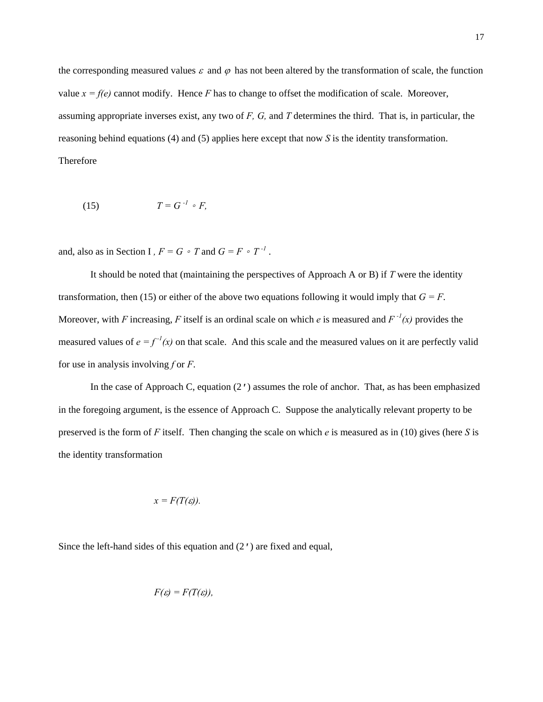the corresponding measured values  $\varepsilon$  and  $\varphi$  has not been altered by the transformation of scale, the function value  $x = f(e)$  cannot modify. Hence *F* has to change to offset the modification of scale. Moreover, assuming appropriate inverses exist, any two of *F, G,* and *T* determines the third. That is, in particular, the reasoning behind equations (4) and (5) applies here except that now *S* is the identity transformation. Therefore

$$
(15) \t\t T = G^{-1} \circ F,
$$

and, also as in Section I *, F = G*  $\circ$  *T* and *G = F*  $\circ$   $T^{-1}$ .

It should be noted that (maintaining the perspectives of Approach A or B) if *T* were the identity transformation, then (15) or either of the above two equations following it would imply that  $G = F$ . Moreover, with *F* increasing, *F* itself is an ordinal scale on which *e* is measured and  $F^{-1}(x)$  provides the measured values of  $e = f^{-1}(x)$  on that scale. And this scale and the measured values on it are perfectly valid for use in analysis involving *f* or *F*.

In the case of Approach C, equation  $(2<sup>r</sup>)$  assumes the role of anchor. That, as has been emphasized in the foregoing argument, is the essence of Approach C. Suppose the analytically relevant property to be preserved is the form of *F* itself. Then changing the scale on which *e* is measured as in (10) gives (here *S* is the identity transformation

$$
x = F(T(\varepsilon)).
$$

Since the left-hand sides of this equation and  $(2')$  are fixed and equal,

$$
F(\varepsilon)=F(T(\varepsilon)),
$$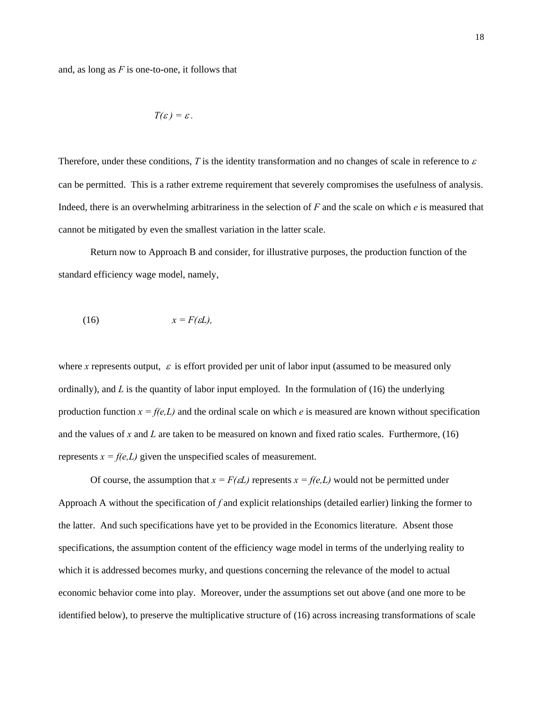and, as long as *F* is one-to-one, it follows that

$$
T(\varepsilon)=\varepsilon.
$$

Therefore, under these conditions, *T* is the identity transformation and no changes of scale in reference to  $\varepsilon$ can be permitted. This is a rather extreme requirement that severely compromises the usefulness of analysis. Indeed, there is an overwhelming arbitrariness in the selection of *F* and the scale on which *e* is measured that cannot be mitigated by even the smallest variation in the latter scale.

Return now to Approach B and consider, for illustrative purposes, the production function of the standard efficiency wage model, namely,

$$
(16) \t\t x = F(\varepsilon L),
$$

where *x* represents output,  $\varepsilon$  is effort provided per unit of labor input (assumed to be measured only ordinally), and *L* is the quantity of labor input employed. In the formulation of (16) the underlying production function  $x = f(e, L)$  and the ordinal scale on which *e* is measured are known without specification and the values of *x* and *L* are taken to be measured on known and fixed ratio scales. Furthermore, (16) represents  $x = f(e, L)$  given the unspecified scales of measurement.

Of course, the assumption that  $x = F(\epsilon L)$  represents  $x = f(\epsilon, L)$  would not be permitted under Approach A without the specification of *f* and explicit relationships (detailed earlier) linking the former to the latter. And such specifications have yet to be provided in the Economics literature. Absent those specifications, the assumption content of the efficiency wage model in terms of the underlying reality to which it is addressed becomes murky, and questions concerning the relevance of the model to actual economic behavior come into play. Moreover, under the assumptions set out above (and one more to be identified below), to preserve the multiplicative structure of (16) across increasing transformations of scale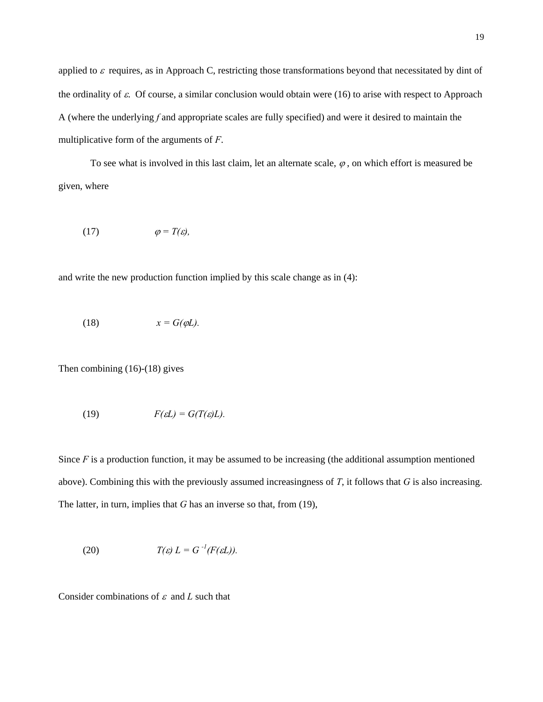applied to  $\varepsilon$  requires, as in Approach C, restricting those transformations beyond that necessitated by dint of the ordinality of  $\varepsilon$ . Of course, a similar conclusion would obtain were (16) to arise with respect to Approach A (where the underlying *f* and appropriate scales are fully specified) and were it desired to maintain the multiplicative form of the arguments of *F*.

To see what is involved in this last claim, let an alternate scale,  $\varphi$ , on which effort is measured be given, where

$$
(17) \hspace{1cm} \varphi = T(\varepsilon),
$$

and write the new production function implied by this scale change as in (4):

$$
(18) \t\t x = G(\varphi L).
$$

Then combining  $(16)-(18)$  gives

$$
(19) \tF(\varepsilon L) = G(T(\varepsilon)L).
$$

Since *F* is a production function, it may be assumed to be increasing (the additional assumption mentioned above). Combining this with the previously assumed increasingness of *T*, it follows that *G* is also increasing. The latter, in turn, implies that *G* has an inverse so that, from (19),

$$
(20) \tT(\varepsilon) L = G^{-1}(F(\varepsilon L)).
$$

Consider combinations of ε and *L* such that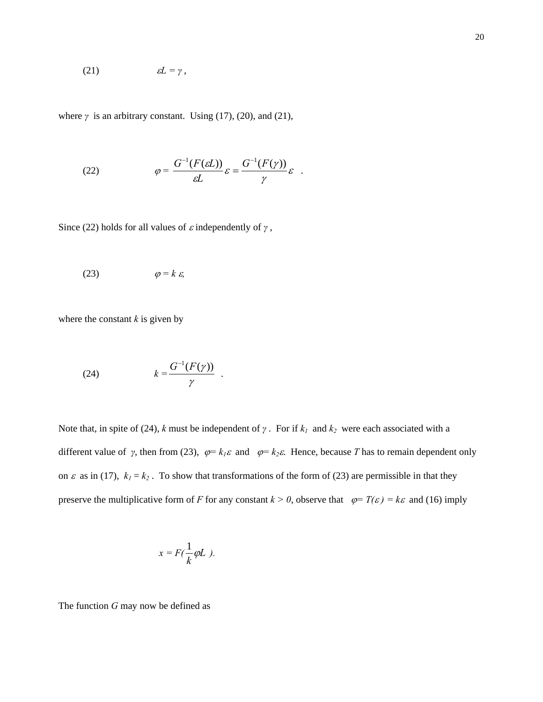(21) <sup>ε</sup>*L = γ* ,

where *γ* is an arbitrary constant. Using (17), (20), and (21),

(22) 
$$
\varphi = \frac{G^{-1}(F(\varepsilon L))}{\varepsilon L} \varepsilon = \frac{G^{-1}(F(\gamma))}{\gamma} \varepsilon.
$$

Since (22) holds for all values of  $\varepsilon$  independently of  $\gamma$ ,

$$
(23) \hspace{1cm} \varphi = k \, \varepsilon,
$$

where the constant  $k$  is given by

$$
(24) \t k = \frac{G^{-1}(F(\gamma))}{\gamma}.
$$

Note that, in spite of (24), *k* must be independent of *γ*. For if  $k_1$  and  $k_2$  were each associated with a different value of *γ*, then from (23),  $\varphi = k_1 \varepsilon$  and  $\varphi = k_2 \varepsilon$ . Hence, because *T* has to remain dependent only on  $\varepsilon$  as in (17),  $k_1 = k_2$ . To show that transformations of the form of (23) are permissible in that they preserve the multiplicative form of *F* for any constant  $k > 0$ , observe that  $\varphi = T(\varepsilon) = k\varepsilon$  and (16) imply

$$
x = F(\frac{1}{k}\varphi L).
$$

The function *G* may now be defined as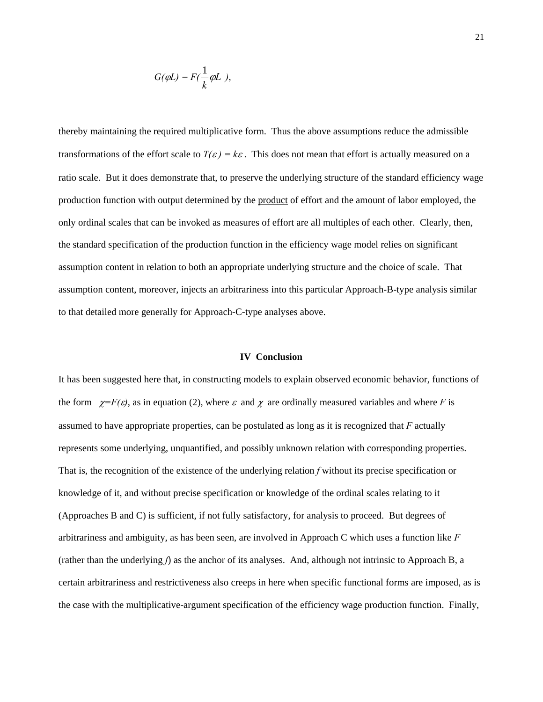$$
G(\varphi L)=F(\frac{1}{k}\varphi L),
$$

thereby maintaining the required multiplicative form. Thus the above assumptions reduce the admissible transformations of the effort scale to  $T(\varepsilon) = k\varepsilon$ . This does not mean that effort is actually measured on a ratio scale. But it does demonstrate that, to preserve the underlying structure of the standard efficiency wage production function with output determined by the product of effort and the amount of labor employed, the only ordinal scales that can be invoked as measures of effort are all multiples of each other. Clearly, then, the standard specification of the production function in the efficiency wage model relies on significant assumption content in relation to both an appropriate underlying structure and the choice of scale. That assumption content, moreover, injects an arbitrariness into this particular Approach-B-type analysis similar to that detailed more generally for Approach-C-type analyses above.

#### **IV Conclusion**

It has been suggested here that, in constructing models to explain observed economic behavior, functions of the form  $\chi = F(\varepsilon)$ , as in equation (2), where  $\varepsilon$  and  $\chi$  are ordinally measured variables and where *F* is assumed to have appropriate properties, can be postulated as long as it is recognized that *F* actually represents some underlying, unquantified, and possibly unknown relation with corresponding properties. That is, the recognition of the existence of the underlying relation *f* without its precise specification or knowledge of it, and without precise specification or knowledge of the ordinal scales relating to it (Approaches B and C) is sufficient, if not fully satisfactory, for analysis to proceed. But degrees of arbitrariness and ambiguity, as has been seen, are involved in Approach C which uses a function like *F* (rather than the underlying *f*) as the anchor of its analyses. And, although not intrinsic to Approach B, a certain arbitrariness and restrictiveness also creeps in here when specific functional forms are imposed, as is the case with the multiplicative-argument specification of the efficiency wage production function. Finally,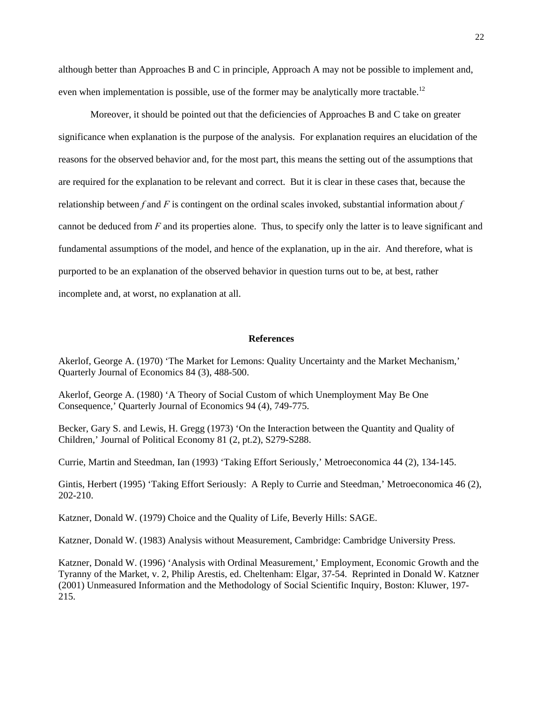although better than Approaches B and C in principle, Approach A may not be possible to implement and, even when implementation is possible, use of the former may be analytically more tractable.<sup>12</sup>

Moreover, it should be pointed out that the deficiencies of Approaches B and C take on greater significance when explanation is the purpose of the analysis. For explanation requires an elucidation of the reasons for the observed behavior and, for the most part, this means the setting out of the assumptions that are required for the explanation to be relevant and correct. But it is clear in these cases that, because the relationship between *f* and *F* is contingent on the ordinal scales invoked, substantial information about *f* cannot be deduced from *F* and its properties alone. Thus, to specify only the latter is to leave significant and fundamental assumptions of the model, and hence of the explanation, up in the air. And therefore, what is purported to be an explanation of the observed behavior in question turns out to be, at best, rather incomplete and, at worst, no explanation at all.

#### **References**

Akerlof, George A. (1970) 'The Market for Lemons: Quality Uncertainty and the Market Mechanism,' Quarterly Journal of Economics 84 (3), 488-500.

Akerlof, George A. (1980) 'A Theory of Social Custom of which Unemployment May Be One Consequence,' Quarterly Journal of Economics 94 (4), 749-775.

Becker, Gary S. and Lewis, H. Gregg (1973) 'On the Interaction between the Quantity and Quality of Children,' Journal of Political Economy 81 (2, pt.2), S279-S288.

Currie, Martin and Steedman, Ian (1993) 'Taking Effort Seriously,' Metroeconomica 44 (2), 134-145.

Gintis, Herbert (1995) 'Taking Effort Seriously: A Reply to Currie and Steedman,' Metroeconomica 46 (2), 202-210.

Katzner, Donald W. (1979) Choice and the Quality of Life, Beverly Hills: SAGE.

Katzner, Donald W. (1983) Analysis without Measurement, Cambridge: Cambridge University Press.

Katzner, Donald W. (1996) 'Analysis with Ordinal Measurement,' Employment, Economic Growth and the Tyranny of the Market, v. 2, Philip Arestis, ed. Cheltenham: Elgar, 37-54. Reprinted in Donald W. Katzner (2001) Unmeasured Information and the Methodology of Social Scientific Inquiry, Boston: Kluwer, 197- 215.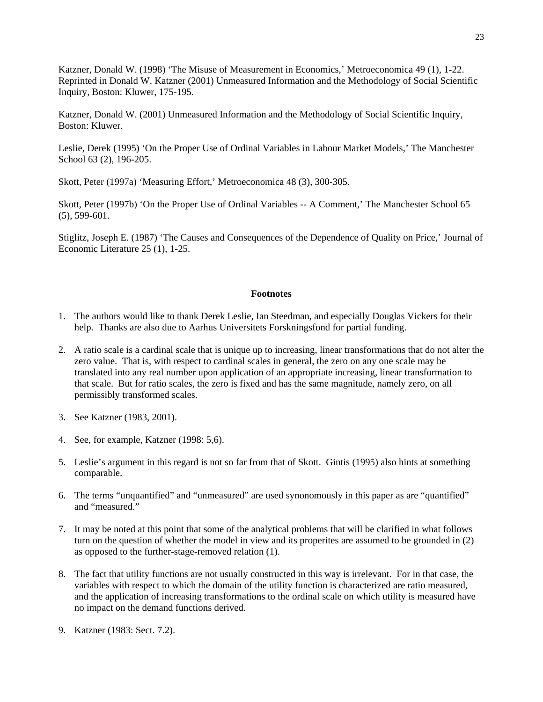Katzner, Donald W. (1998) 'The Misuse of Measurement in Economics,' Metroeconomica 49 (1), 1-22. Reprinted in Donald W. Katzner (2001) Unmeasured Information and the Methodology of Social Scientific Inquiry, Boston: Kluwer, 175-195.

Katzner, Donald W. (2001) Unmeasured Information and the Methodology of Social Scientific Inquiry, Boston: Kluwer.

Leslie, Derek (1995) 'On the Proper Use of Ordinal Variables in Labour Market Models,' The Manchester School 63 (2), 196-205.

Skott, Peter (1997a) 'Measuring Effort,' Metroeconomica 48 (3), 300-305.

Skott, Peter (1997b) 'On the Proper Use of Ordinal Variables -- A Comment,' The Manchester School 65 (5), 599-601.

Stiglitz, Joseph E. (1987) 'The Causes and Consequences of the Dependence of Quality on Price,' Journal of Economic Literature 25 (1), 1-25.

#### **Footnotes**

- 1. The authors would like to thank Derek Leslie, Ian Steedman, and especially Douglas Vickers for their help. Thanks are also due to Aarhus Universitets Forskningsfond for partial funding.
- 2. A ratio scale is a cardinal scale that is unique up to increasing, linear transformations that do not alter the zero value. That is, with respect to cardinal scales in general, the zero on any one scale may be translated into any real number upon application of an appropriate increasing, linear transformation to that scale. But for ratio scales, the zero is fixed and has the same magnitude, namely zero, on all permissibly transformed scales.
- 3. See Katzner (1983, 2001).
- 4. See, for example, Katzner (1998: 5,6).
- 5. Leslie's argument in this regard is not so far from that of Skott. Gintis (1995) also hints at something comparable.
- 6. The terms "unquantified" and "unmeasured" are used synonomously in this paper as are "quantified" and "measured."
- 7. It may be noted at this point that some of the analytical problems that will be clarified in what follows turn on the question of whether the model in view and its properites are assumed to be grounded in (2) as opposed to the further-stage-removed relation (1).
- 8. The fact that utility functions are not usually constructed in this way is irrelevant. For in that case, the variables with respect to which the domain of the utility function is characterized are ratio measured, and the application of increasing transformations to the ordinal scale on which utility is measured have no impact on the demand functions derived.
- 9. Katzner (1983: Sect. 7.2).